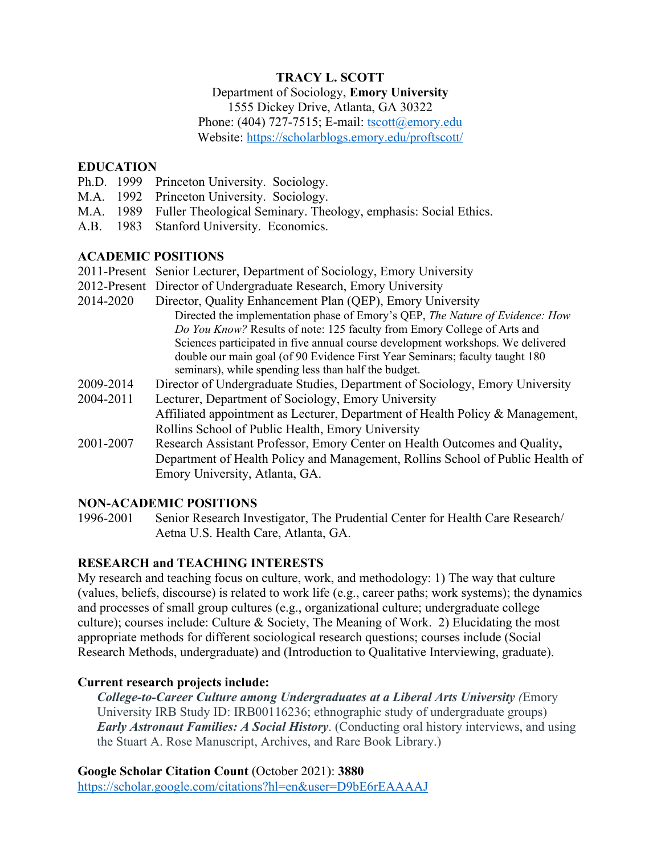# **TRACY L. SCOTT**

#### Department of Sociology, **Emory University**

1555 Dickey Drive, Atlanta, GA 30322

Phone: (404) 727-7515; E-mail: tscott@emory.edu Website: https://scholarblogs.emory.edu/proftscott/

#### **EDUCATION**

- Ph.D. 1999 Princeton University. Sociology.
- M.A. 1992 Princeton University. Sociology.
- M.A. 1989 Fuller Theological Seminary. Theology, emphasis: Social Ethics.
- A.B. 1983 Stanford University. Economics.

#### **ACADEMIC POSITIONS**

- 2011-Present Senior Lecturer, Department of Sociology, Emory University
- 2012-Present Director of Undergraduate Research, Emory University
- 2014-2020 Director, Quality Enhancement Plan (QEP), Emory University Directed the implementation phase of Emory's QEP, *The Nature of Evidence: How Do You Know?* Results of note: 125 faculty from Emory College of Arts and Sciences participated in five annual course development workshops. We delivered double our main goal (of 90 Evidence First Year Seminars; faculty taught 180 seminars), while spending less than half the budget.
- 2009-2014 Director of Undergraduate Studies, Department of Sociology, Emory University
- 2004-2011 Lecturer, Department of Sociology, Emory University Affiliated appointment as Lecturer, Department of Health Policy & Management, Rollins School of Public Health, Emory University
- 2001-2007 Research Assistant Professor, Emory Center on Health Outcomes and Quality**,** Department of Health Policy and Management, Rollins School of Public Health of Emory University, Atlanta, GA.

# **NON-ACADEMIC POSITIONS**

1996-2001 Senior Research Investigator, The Prudential Center for Health Care Research/ Aetna U.S. Health Care, Atlanta, GA.

# **RESEARCH and TEACHING INTERESTS**

My research and teaching focus on culture, work, and methodology: 1) The way that culture (values, beliefs, discourse) is related to work life (e.g., career paths; work systems); the dynamics and processes of small group cultures (e.g., organizational culture; undergraduate college culture); courses include: Culture & Society, The Meaning of Work. 2) Elucidating the most appropriate methods for different sociological research questions; courses include (Social Research Methods, undergraduate) and (Introduction to Qualitative Interviewing, graduate).

# **Current research projects include:**

*College-to-Career Culture among Undergraduates at a Liberal Arts University (*Emory University IRB Study ID: IRB00116236; ethnographic study of undergraduate groups) *Early Astronaut Families: A Social History*. (Conducting oral history interviews, and using the Stuart A. Rose Manuscript, Archives, and Rare Book Library.)

**Google Scholar Citation Count** (October 2021): **3880** https://scholar.google.com/citations?hl=en&user=D9bE6rEAAAAJ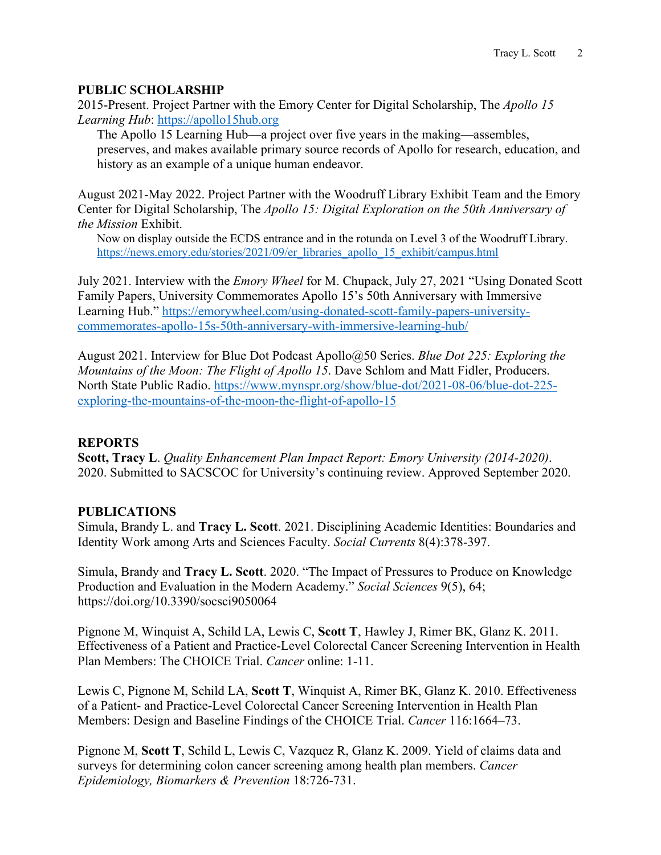#### **PUBLIC SCHOLARSHIP**

2015-Present. Project Partner with the Emory Center for Digital Scholarship, The *Apollo 15 Learning Hub*: https://apollo15hub.org

The Apollo 15 Learning Hub—a project over five years in the making—assembles, preserves, and makes available primary source records of Apollo for research, education, and history as an example of a unique human endeavor.

August 2021-May 2022. Project Partner with the Woodruff Library Exhibit Team and the Emory Center for Digital Scholarship, The *Apollo 15: Digital Exploration on the 50th Anniversary of the Mission* Exhibit.

Now on display outside the ECDS entrance and in the rotunda on Level 3 of the Woodruff Library. https://news.emory.edu/stories/2021/09/er\_libraries\_apollo\_15\_exhibit/campus.html

July 2021. Interview with the *Emory Wheel* for M. Chupack, July 27, 2021 "Using Donated Scott Family Papers, University Commemorates Apollo 15's 50th Anniversary with Immersive Learning Hub." https://emorywheel.com/using-donated-scott-family-papers-universitycommemorates-apollo-15s-50th-anniversary-with-immersive-learning-hub/

August 2021. Interview for Blue Dot Podcast Apollo@50 Series. *Blue Dot 225: Exploring the Mountains of the Moon: The Flight of Apollo 15*. Dave Schlom and Matt Fidler, Producers. North State Public Radio. https://www.mynspr.org/show/blue-dot/2021-08-06/blue-dot-225 exploring-the-mountains-of-the-moon-the-flight-of-apollo-15

#### **REPORTS**

**Scott, Tracy L**. *Quality Enhancement Plan Impact Report: Emory University (2014-2020)*. 2020. Submitted to SACSCOC for University's continuing review. Approved September 2020.

#### **PUBLICATIONS**

Simula, Brandy L. and **Tracy L. Scott**. 2021. Disciplining Academic Identities: Boundaries and Identity Work among Arts and Sciences Faculty. *Social Currents* 8(4):378-397.

Simula, Brandy and **Tracy L. Scott**. 2020. "The Impact of Pressures to Produce on Knowledge Production and Evaluation in the Modern Academy." *Social Sciences* 9(5), 64; https://doi.org/10.3390/socsci9050064

Pignone M, Winquist A, Schild LA, Lewis C, **Scott T**, Hawley J, Rimer BK, Glanz K. 2011. Effectiveness of a Patient and Practice-Level Colorectal Cancer Screening Intervention in Health Plan Members: The CHOICE Trial. *Cancer* online: 1-11.

Lewis C, Pignone M, Schild LA, **Scott T**, Winquist A, Rimer BK, Glanz K. 2010. Effectiveness of a Patient- and Practice-Level Colorectal Cancer Screening Intervention in Health Plan Members: Design and Baseline Findings of the CHOICE Trial. *Cancer* 116:1664–73.

Pignone M, **Scott T**, Schild L, Lewis C, Vazquez R, Glanz K. 2009. Yield of claims data and surveys for determining colon cancer screening among health plan members. *Cancer Epidemiology, Biomarkers & Prevention* 18:726-731.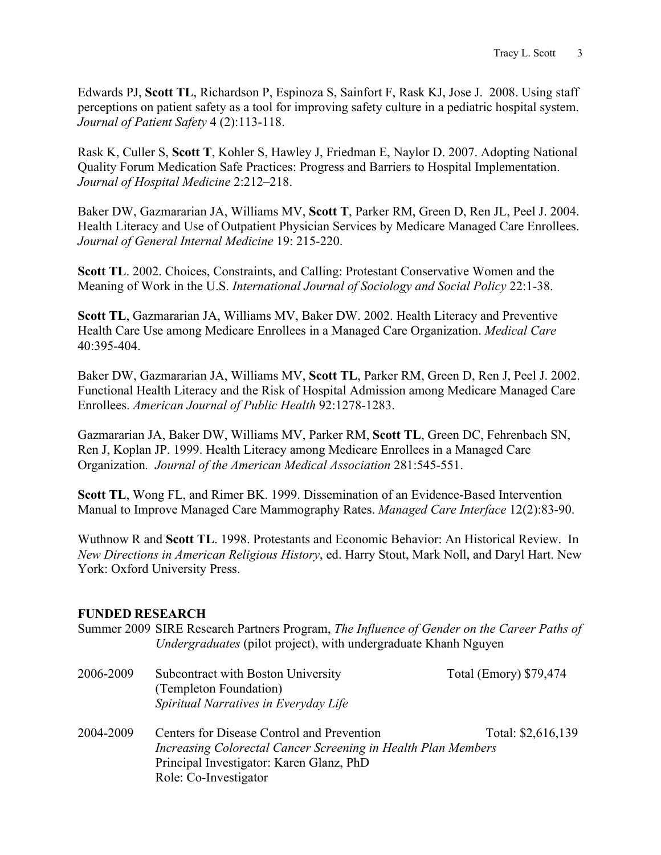Edwards PJ, **Scott TL**, Richardson P, Espinoza S, Sainfort F, Rask KJ, Jose J. 2008. Using staff perceptions on patient safety as a tool for improving safety culture in a pediatric hospital system. *Journal of Patient Safety* 4 (2):113-118.

Rask K, Culler S, **Scott T**, Kohler S, Hawley J, Friedman E, Naylor D. 2007. Adopting National Quality Forum Medication Safe Practices: Progress and Barriers to Hospital Implementation. *Journal of Hospital Medicine* 2:212–218.

Baker DW, Gazmararian JA, Williams MV, **Scott T**, Parker RM, Green D, Ren JL, Peel J. 2004. Health Literacy and Use of Outpatient Physician Services by Medicare Managed Care Enrollees. *Journal of General Internal Medicine* 19: 215-220.

**Scott TL**. 2002. Choices, Constraints, and Calling: Protestant Conservative Women and the Meaning of Work in the U.S. *International Journal of Sociology and Social Policy* 22:1-38.

**Scott TL**, Gazmararian JA, Williams MV, Baker DW. 2002. Health Literacy and Preventive Health Care Use among Medicare Enrollees in a Managed Care Organization. *Medical Care* 40:395-404.

Baker DW, Gazmararian JA, Williams MV, **Scott TL**, Parker RM, Green D, Ren J, Peel J. 2002. Functional Health Literacy and the Risk of Hospital Admission among Medicare Managed Care Enrollees. *American Journal of Public Health* 92:1278-1283.

Gazmararian JA, Baker DW, Williams MV, Parker RM, **Scott TL**, Green DC, Fehrenbach SN, Ren J, Koplan JP. 1999. Health Literacy among Medicare Enrollees in a Managed Care Organization*. Journal of the American Medical Association* 281:545-551.

**Scott TL**, Wong FL, and Rimer BK. 1999. Dissemination of an Evidence-Based Intervention Manual to Improve Managed Care Mammography Rates. *Managed Care Interface* 12(2):83-90.

Wuthnow R and **Scott TL**. 1998. Protestants and Economic Behavior: An Historical Review. In *New Directions in American Religious History*, ed. Harry Stout, Mark Noll, and Daryl Hart. New York: Oxford University Press.

# **FUNDED RESEARCH**

| Summer 2009 SIRE Research Partners Program, The Influence of Gender on the Career Paths of |  |  |
|--------------------------------------------------------------------------------------------|--|--|
| <i>Undergraduates</i> (pilot project), with undergraduate Khanh Nguyen                     |  |  |

| 2006-2009 | Subcontract with Boston University                            | Total (Emory) \$79,474 |  |
|-----------|---------------------------------------------------------------|------------------------|--|
|           | (Templeton Foundation)                                        |                        |  |
|           | Spiritual Narratives in Everyday Life                         |                        |  |
| 2004-2009 | Centers for Disease Control and Prevention                    | Total: \$2,616,139     |  |
|           | Increasing Colorectal Cancer Screening in Health Plan Members |                        |  |
|           | Principal Investigator: Karen Glanz, PhD                      |                        |  |
|           | Role: Co-Investigator                                         |                        |  |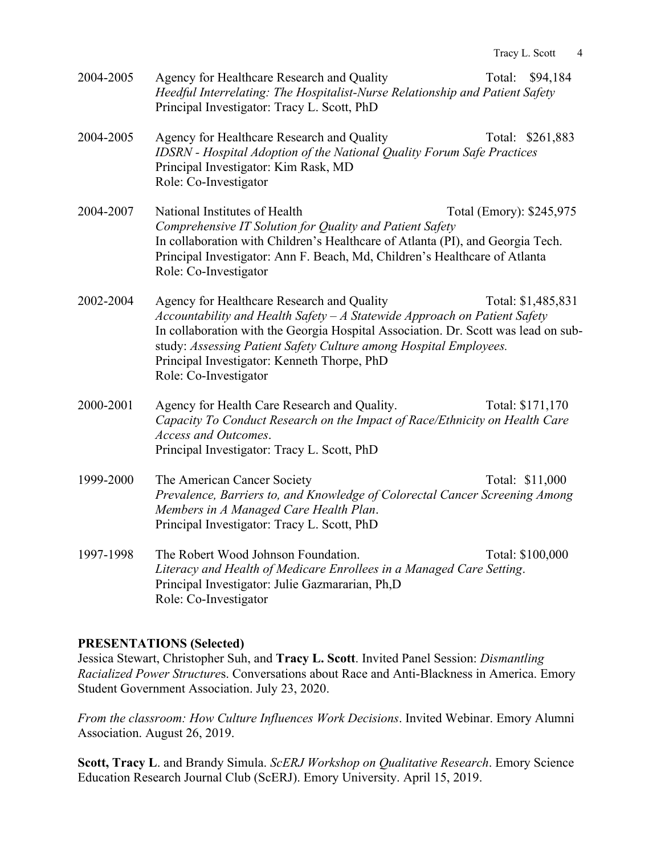| 2004-2005 | Agency for Healthcare Research and Quality                                   | Total: \$94,184 |
|-----------|------------------------------------------------------------------------------|-----------------|
|           | Heedful Interrelating: The Hospitalist-Nurse Relationship and Patient Safety |                 |
|           | Principal Investigator: Tracy L. Scott, PhD                                  |                 |

- 2004-2005 Agency for Healthcare Research and Quality Total: \$261,883 *IDSRN - Hospital Adoption of the National Quality Forum Safe Practices* Principal Investigator: Kim Rask, MD Role: Co-Investigator
- 2004-2007 National Institutes of Health Total (Emory): \$245,975 *Comprehensive IT Solution for Quality and Patient Safety* In collaboration with Children's Healthcare of Atlanta (PI), and Georgia Tech. Principal Investigator: Ann F. Beach, Md, Children's Healthcare of Atlanta Role: Co-Investigator
- 2002-2004 Agency for Healthcare Research and Quality Total: \$1,485,831 *Accountability and Health Safety – A Statewide Approach on Patient Safety* In collaboration with the Georgia Hospital Association. Dr. Scott was lead on substudy: *Assessing Patient Safety Culture among Hospital Employees.* Principal Investigator: Kenneth Thorpe, PhD Role: Co-Investigator
- 2000-2001 Agency for Health Care Research and Quality. Total: \$171,170 *Capacity To Conduct Research on the Impact of Race/Ethnicity on Health Care Access and Outcomes*. Principal Investigator: Tracy L. Scott, PhD
- 1999-2000 The American Cancer Society Total: \$11,000 *Prevalence, Barriers to, and Knowledge of Colorectal Cancer Screening Among Members in A Managed Care Health Plan*. Principal Investigator: Tracy L. Scott, PhD
- 1997-1998 The Robert Wood Johnson Foundation. Total: \$100,000 *Literacy and Health of Medicare Enrollees in a Managed Care Setting*. Principal Investigator: Julie Gazmararian, Ph,D Role: Co-Investigator

# **PRESENTATIONS (Selected)**

Jessica Stewart, Christopher Suh, and **Tracy L. Scott**. Invited Panel Session: *Dismantling Racialized Power Structure*s. Conversations about Race and Anti-Blackness in America. Emory Student Government Association. July 23, 2020.

*From the classroom: How Culture Influences Work Decisions*. Invited Webinar. Emory Alumni Association. August 26, 2019.

**Scott, Tracy L**. and Brandy Simula. *ScERJ Workshop on Qualitative Research*. Emory Science Education Research Journal Club (ScERJ). Emory University. April 15, 2019.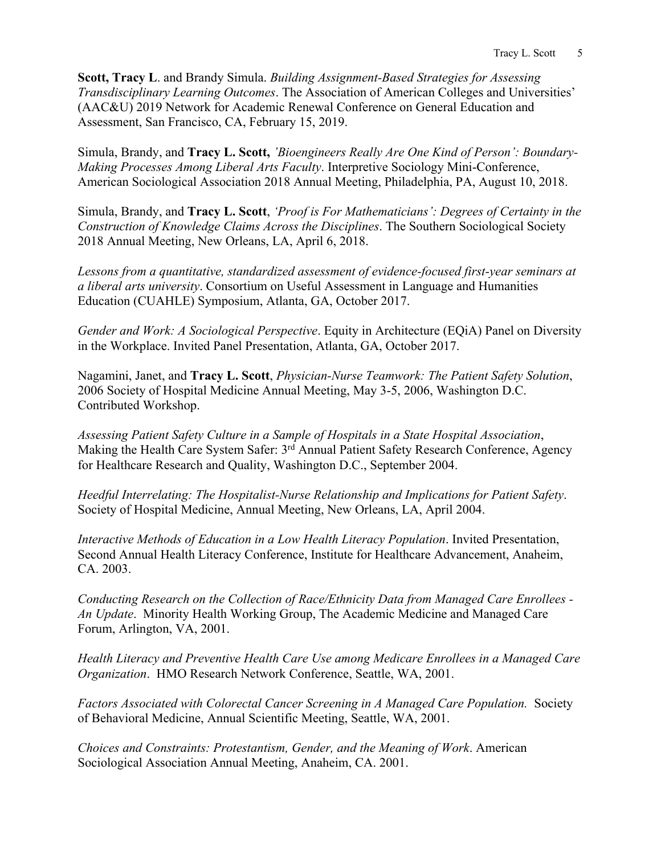**Scott, Tracy L**. and Brandy Simula. *Building Assignment-Based Strategies for Assessing Transdisciplinary Learning Outcomes*. The Association of American Colleges and Universities' (AAC&U) 2019 Network for Academic Renewal Conference on General Education and Assessment, San Francisco, CA, February 15, 2019.

Simula, Brandy, and **Tracy L. Scott,** *'Bioengineers Really Are One Kind of Person': Boundary-Making Processes Among Liberal Arts Faculty*. Interpretive Sociology Mini-Conference, American Sociological Association 2018 Annual Meeting, Philadelphia, PA, August 10, 2018.

Simula, Brandy, and **Tracy L. Scott**, *'Proof is For Mathematicians': Degrees of Certainty in the Construction of Knowledge Claims Across the Disciplines*. The Southern Sociological Society 2018 Annual Meeting, New Orleans, LA, April 6, 2018.

*Lessons from a quantitative, standardized assessment of evidence-focused first-year seminars at a liberal arts university*. Consortium on Useful Assessment in Language and Humanities Education (CUAHLE) Symposium, Atlanta, GA, October 2017.

*Gender and Work: A Sociological Perspective*. Equity in Architecture (EQiA) Panel on Diversity in the Workplace. Invited Panel Presentation, Atlanta, GA, October 2017.

Nagamini, Janet, and **Tracy L. Scott**, *Physician-Nurse Teamwork: The Patient Safety Solution*, 2006 Society of Hospital Medicine Annual Meeting, May 3-5, 2006, Washington D.C. Contributed Workshop.

*Assessing Patient Safety Culture in a Sample of Hospitals in a State Hospital Association*, Making the Health Care System Safer: 3<sup>rd</sup> Annual Patient Safety Research Conference, Agency for Healthcare Research and Quality, Washington D.C., September 2004.

*Heedful Interrelating: The Hospitalist-Nurse Relationship and Implications for Patient Safety*. Society of Hospital Medicine, Annual Meeting, New Orleans, LA, April 2004.

*Interactive Methods of Education in a Low Health Literacy Population*. Invited Presentation, Second Annual Health Literacy Conference, Institute for Healthcare Advancement, Anaheim, CA. 2003.

*Conducting Research on the Collection of Race/Ethnicity Data from Managed Care Enrollees - An Update*. Minority Health Working Group, The Academic Medicine and Managed Care Forum, Arlington, VA, 2001.

*Health Literacy and Preventive Health Care Use among Medicare Enrollees in a Managed Care Organization*. HMO Research Network Conference, Seattle, WA, 2001.

*Factors Associated with Colorectal Cancer Screening in A Managed Care Population.* Society of Behavioral Medicine, Annual Scientific Meeting, Seattle, WA, 2001.

*Choices and Constraints: Protestantism, Gender, and the Meaning of Work*. American Sociological Association Annual Meeting, Anaheim, CA. 2001.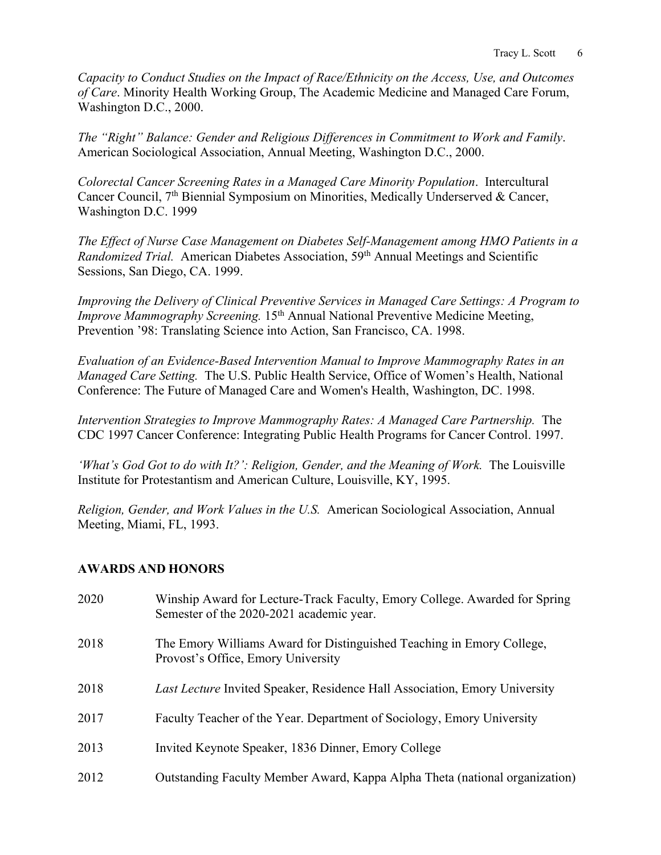*Capacity to Conduct Studies on the Impact of Race/Ethnicity on the Access, Use, and Outcomes of Care*. Minority Health Working Group, The Academic Medicine and Managed Care Forum, Washington D.C., 2000.

*The "Right" Balance: Gender and Religious Differences in Commitment to Work and Family*. American Sociological Association, Annual Meeting, Washington D.C., 2000.

*Colorectal Cancer Screening Rates in a Managed Care Minority Population*. Intercultural Cancer Council, 7th Biennial Symposium on Minorities, Medically Underserved & Cancer, Washington D.C. 1999

*The Effect of Nurse Case Management on Diabetes Self-Management among HMO Patients in a Randomized Trial.* American Diabetes Association, 59th Annual Meetings and Scientific Sessions, San Diego, CA. 1999.

*Improving the Delivery of Clinical Preventive Services in Managed Care Settings: A Program to Improve Mammography Screening.* 15<sup>th</sup> Annual National Preventive Medicine Meeting, Prevention '98: Translating Science into Action, San Francisco, CA. 1998.

*Evaluation of an Evidence-Based Intervention Manual to Improve Mammography Rates in an Managed Care Setting.* The U.S. Public Health Service, Office of Women's Health, National Conference: The Future of Managed Care and Women's Health, Washington, DC. 1998.

*Intervention Strategies to Improve Mammography Rates: A Managed Care Partnership.* The CDC 1997 Cancer Conference: Integrating Public Health Programs for Cancer Control. 1997.

*'What's God Got to do with It?': Religion, Gender, and the Meaning of Work.* The Louisville Institute for Protestantism and American Culture, Louisville, KY, 1995.

*Religion, Gender, and Work Values in the U.S.* American Sociological Association, Annual Meeting, Miami, FL, 1993.

# **AWARDS AND HONORS**

| 2020 | Winship Award for Lecture-Track Faculty, Emory College. Awarded for Spring<br>Semester of the 2020-2021 academic year. |
|------|------------------------------------------------------------------------------------------------------------------------|
| 2018 | The Emory Williams Award for Distinguished Teaching in Emory College,<br>Provost's Office, Emory University            |
| 2018 | <i>Last Lecture</i> Invited Speaker, Residence Hall Association, Emory University                                      |
| 2017 | Faculty Teacher of the Year. Department of Sociology, Emory University                                                 |
| 2013 | Invited Keynote Speaker, 1836 Dinner, Emory College                                                                    |
| 2012 | Outstanding Faculty Member Award, Kappa Alpha Theta (national organization)                                            |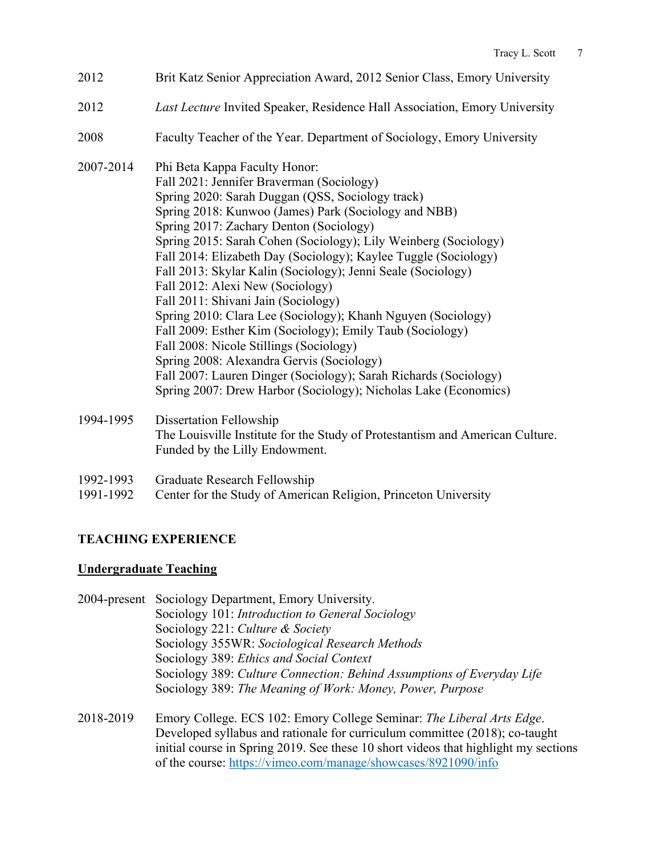- 2012 Brit Katz Senior Appreciation Award, 2012 Senior Class, Emory University
- 2012 *Last Lecture* Invited Speaker, Residence Hall Association, Emory University
- 2008 Faculty Teacher of the Year. Department of Sociology, Emory University
- 2007-2014 Phi Beta Kappa Faculty Honor: Fall 2021: Jennifer Braverman (Sociology) Spring 2020: Sarah Duggan (QSS, Sociology track) Spring 2018: Kunwoo (James) Park (Sociology and NBB) Spring 2017: Zachary Denton (Sociology) Spring 2015: Sarah Cohen (Sociology); Lily Weinberg (Sociology) Fall 2014: Elizabeth Day (Sociology); Kaylee Tuggle (Sociology) Fall 2013: Skylar Kalin (Sociology); Jenni Seale (Sociology) Fall 2012: Alexi New (Sociology) Fall 2011: Shivani Jain (Sociology) Spring 2010: Clara Lee (Sociology); Khanh Nguyen (Sociology) Fall 2009: Esther Kim (Sociology); Emily Taub (Sociology) Fall 2008: Nicole Stillings (Sociology) Spring 2008: Alexandra Gervis (Sociology) Fall 2007: Lauren Dinger (Sociology); Sarah Richards (Sociology) Spring 2007: Drew Harbor (Sociology); Nicholas Lake (Economics)

# 1994-1995 Dissertation Fellowship The Louisville Institute for the Study of Protestantism and American Culture. Funded by the Lilly Endowment.

- 1992-1993 Graduate Research Fellowship
- 1991-1992 Center for the Study of American Religion, Princeton University

# **TEACHING EXPERIENCE**

# **Undergraduate Teaching**

2004-present Sociology Department, Emory University. Sociology 101: *Introduction to General Sociology* Sociology 221: *Culture & Society* Sociology 355WR: *Sociological Research Methods* Sociology 389: *Ethics and Social Context* Sociology 389: *Culture Connection: Behind Assumptions of Everyday Life* Sociology 389: *The Meaning of Work: Money, Power, Purpose* 2018-2019 Emory College. ECS 102: Emory College Seminar: *The Liberal Arts Edge*. Developed syllabus and rationale for curriculum committee (2018); co-taught initial course in Spring 2019. See these 10 short videos that highlight my sections

of the course: https://vimeo.com/manage/showcases/8921090/info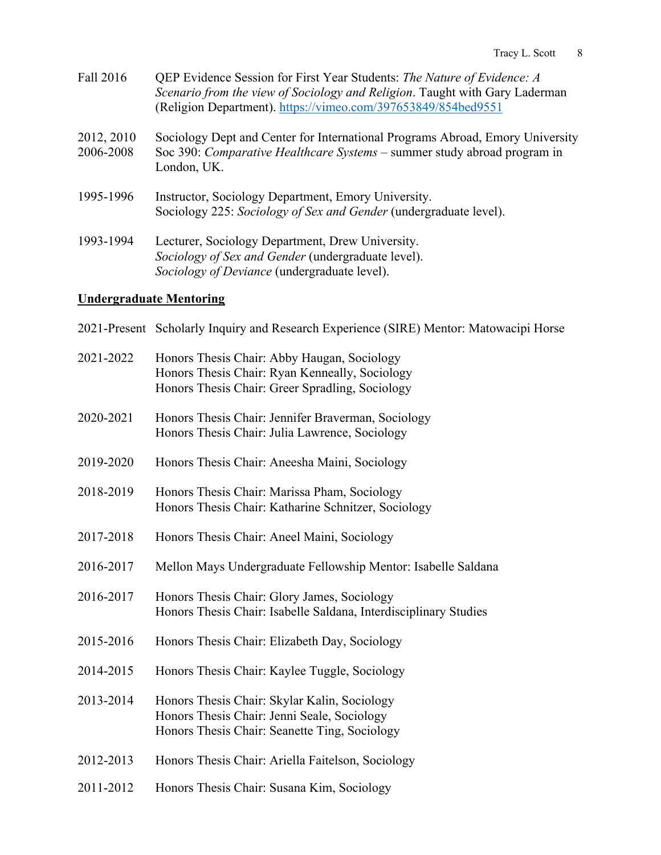- Fall 2016 QEP Evidence Session for First Year Students: *The Nature of Evidence: A Scenario from the view of Sociology and Religion*. Taught with Gary Laderman (Religion Department). https://vimeo.com/397653849/854bed9551
- 2012, 2010 Sociology Dept and Center for International Programs Abroad, Emory University 2006-2008 Soc 390: *Comparative Healthcare Systems* – summer study abroad program in London, UK.
- 1995-1996 Instructor, Sociology Department, Emory University. Sociology 225: *Sociology of Sex and Gender* (undergraduate level).
- 1993-1994 Lecturer, Sociology Department, Drew University. *Sociology of Sex and Gender* (undergraduate level). *Sociology of Deviance* (undergraduate level).

#### **Undergraduate Mentoring**

2021-Present Scholarly Inquiry and Research Experience (SIRE) Mentor: Matowacipi Horse

| 2021-2022 | Honors Thesis Chair: Abby Haugan, Sociology<br>Honors Thesis Chair: Ryan Kenneally, Sociology<br>Honors Thesis Chair: Greer Spradling, Sociology |
|-----------|--------------------------------------------------------------------------------------------------------------------------------------------------|
| 2020-2021 | Honors Thesis Chair: Jennifer Braverman, Sociology<br>Honors Thesis Chair: Julia Lawrence, Sociology                                             |
| 2019-2020 | Honors Thesis Chair: Aneesha Maini, Sociology                                                                                                    |
| 2018-2019 | Honors Thesis Chair: Marissa Pham, Sociology<br>Honors Thesis Chair: Katharine Schnitzer, Sociology                                              |
| 2017-2018 | Honors Thesis Chair: Aneel Maini, Sociology                                                                                                      |
| 2016-2017 | Mellon Mays Undergraduate Fellowship Mentor: Isabelle Saldana                                                                                    |
| 2016-2017 | Honors Thesis Chair: Glory James, Sociology<br>Honors Thesis Chair: Isabelle Saldana, Interdisciplinary Studies                                  |
| 2015-2016 | Honors Thesis Chair: Elizabeth Day, Sociology                                                                                                    |
| 2014-2015 | Honors Thesis Chair: Kaylee Tuggle, Sociology                                                                                                    |
| 2013-2014 | Honors Thesis Chair: Skylar Kalin, Sociology<br>Honors Thesis Chair: Jenni Seale, Sociology<br>Honors Thesis Chair: Seanette Ting, Sociology     |
| 2012-2013 | Honors Thesis Chair: Ariella Faitelson, Sociology                                                                                                |

2011-2012 Honors Thesis Chair: Susana Kim, Sociology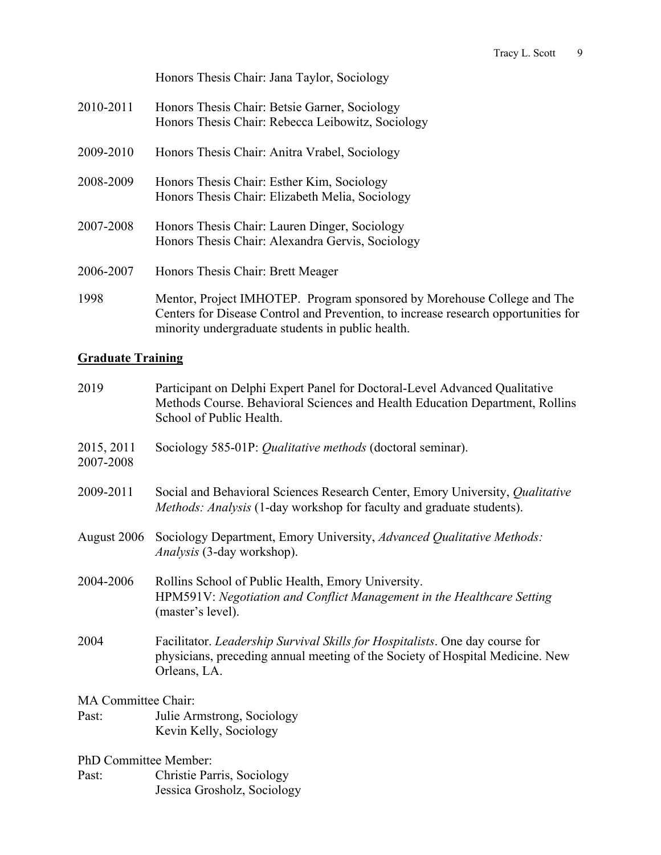Honors Thesis Chair: Jana Taylor, Sociology 2010-2011 Honors Thesis Chair: Betsie Garner, Sociology

- Honors Thesis Chair: Rebecca Leibowitz, Sociology 2009-2010 Honors Thesis Chair: Anitra Vrabel, Sociology
- 2008-2009 Honors Thesis Chair: Esther Kim, Sociology Honors Thesis Chair: Elizabeth Melia, Sociology
- 2007-2008 Honors Thesis Chair: Lauren Dinger, Sociology Honors Thesis Chair: Alexandra Gervis, Sociology
- 2006-2007 Honors Thesis Chair: Brett Meager
- 1998 Mentor, Project IMHOTEP. Program sponsored by Morehouse College and The Centers for Disease Control and Prevention, to increase research opportunities for minority undergraduate students in public health.

# **Graduate Training**

| 2019                    | Participant on Delphi Expert Panel for Doctoral-Level Advanced Qualitative<br>Methods Course. Behavioral Sciences and Health Education Department, Rollins<br>School of Public Health. |
|-------------------------|----------------------------------------------------------------------------------------------------------------------------------------------------------------------------------------|
| 2015, 2011<br>2007-2008 | Sociology 585-01P: Qualitative methods (doctoral seminar).                                                                                                                             |
| 2009-2011               | Social and Behavioral Sciences Research Center, Emory University, Qualitative<br><i>Methods: Analysis</i> (1-day workshop for faculty and graduate students).                          |
| August 2006             | Sociology Department, Emory University, Advanced Qualitative Methods:<br><i>Analysis</i> (3-day workshop).                                                                             |
| 2004-2006               | Rollins School of Public Health, Emory University.<br>HPM591V: Negotiation and Conflict Management in the Healthcare Setting<br>(master's level).                                      |
| 2004                    | Facilitator. <i>Leadership Survival Skills for Hospitalists</i> . One day course for<br>physicians, preceding annual meeting of the Society of Hospital Medicine. New<br>Orleans, LA.  |
| MA Committee Chair:     |                                                                                                                                                                                        |

MA Committee Chair:

Past: Julie Armstrong, Sociology Kevin Kelly, Sociology

PhD Committee Member:

Past: Christie Parris, Sociology Jessica Grosholz, Sociology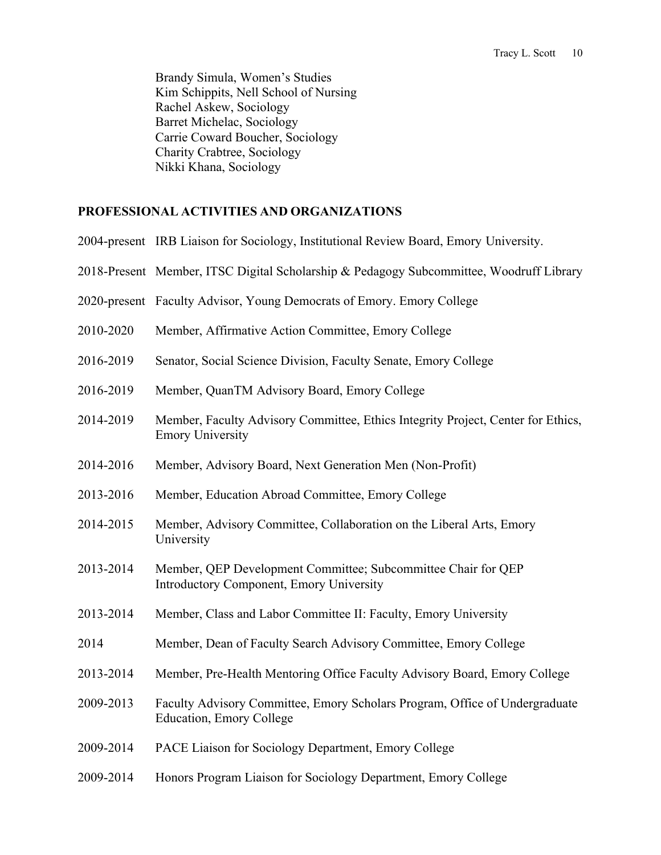Brandy Simula, Women's Studies Kim Schippits, Nell School of Nursing Rachel Askew, Sociology Barret Michelac, Sociology Carrie Coward Boucher, Sociology Charity Crabtree, Sociology Nikki Khana, Sociology

#### **PROFESSIONAL ACTIVITIES AND ORGANIZATIONS**

|           | 2004-present IRB Liaison for Sociology, Institutional Review Board, Emory University.                            |
|-----------|------------------------------------------------------------------------------------------------------------------|
|           | 2018-Present Member, ITSC Digital Scholarship & Pedagogy Subcommittee, Woodruff Library                          |
|           | 2020-present Faculty Advisor, Young Democrats of Emory. Emory College                                            |
| 2010-2020 | Member, Affirmative Action Committee, Emory College                                                              |
| 2016-2019 | Senator, Social Science Division, Faculty Senate, Emory College                                                  |
| 2016-2019 | Member, QuanTM Advisory Board, Emory College                                                                     |
| 2014-2019 | Member, Faculty Advisory Committee, Ethics Integrity Project, Center for Ethics,<br><b>Emory University</b>      |
| 2014-2016 | Member, Advisory Board, Next Generation Men (Non-Profit)                                                         |
| 2013-2016 | Member, Education Abroad Committee, Emory College                                                                |
| 2014-2015 | Member, Advisory Committee, Collaboration on the Liberal Arts, Emory<br>University                               |
| 2013-2014 | Member, QEP Development Committee; Subcommittee Chair for QEP<br><b>Introductory Component, Emory University</b> |
| 2013-2014 | Member, Class and Labor Committee II: Faculty, Emory University                                                  |
| 2014      | Member, Dean of Faculty Search Advisory Committee, Emory College                                                 |
| 2013-2014 | Member, Pre-Health Mentoring Office Faculty Advisory Board, Emory College                                        |
| 2009-2013 | Faculty Advisory Committee, Emory Scholars Program, Office of Undergraduate<br>Education, Emory College          |
| 2009-2014 | PACE Liaison for Sociology Department, Emory College                                                             |
| 2009-2014 | Honors Program Liaison for Sociology Department, Emory College                                                   |